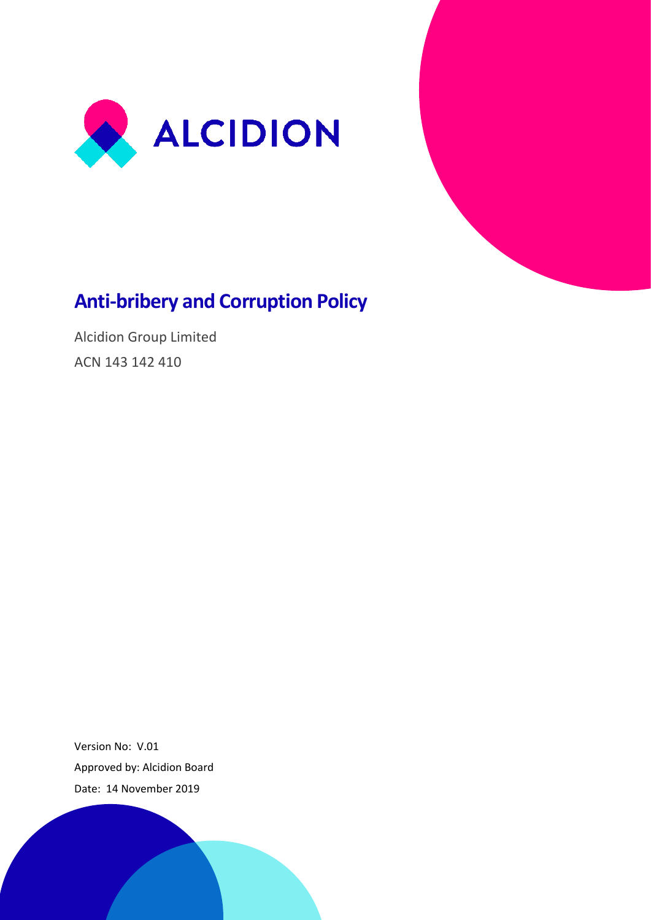



# **Anti-bribery and Corruption Policy**

Alcidion Group Limited ACN 143 142 410

Version No: V.01 Approved by: Alcidion Board Date: 14 November 2019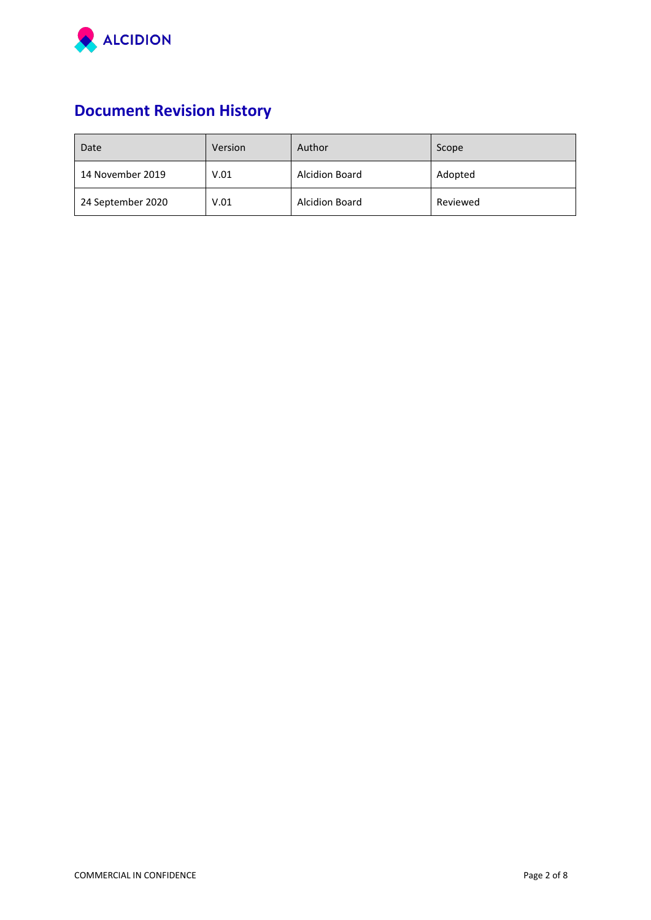

# **Document Revision History**

| Date              | Version | Author                | Scope    |
|-------------------|---------|-----------------------|----------|
| 14 November 2019  | V.01    | <b>Alcidion Board</b> | Adopted  |
| 24 September 2020 | V.01    | <b>Alcidion Board</b> | Reviewed |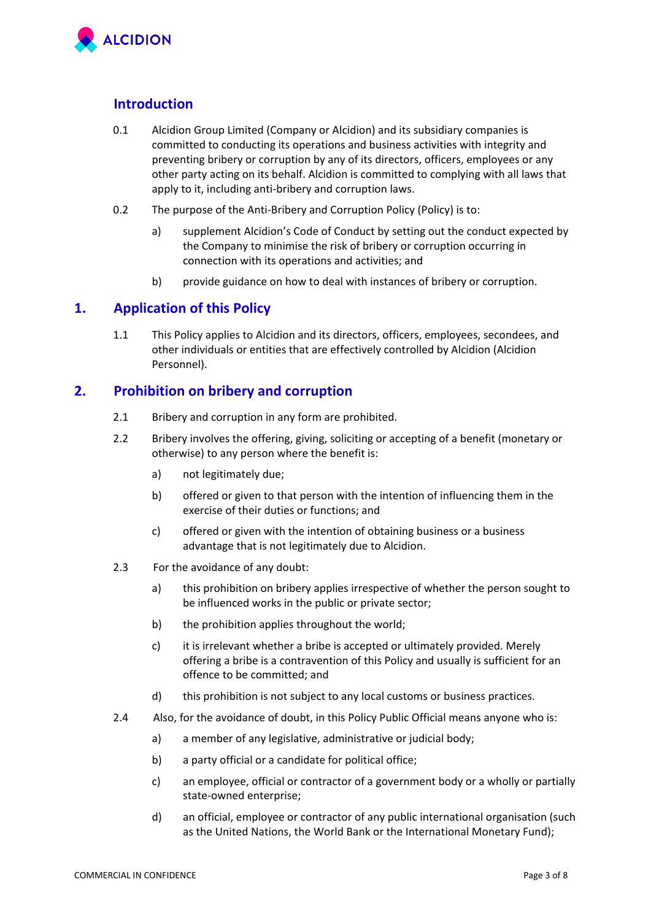

# **Introduction**

- 0.1 Alcidion Group Limited (Company or Alcidion) and its subsidiary companies is committed to conducting its operations and business activities with integrity and preventing bribery or corruption by any of its directors, officers, employees or any other party acting on its behalf. Alcidion is committed to complying with all laws that apply to it, including anti‐bribery and corruption laws.
- 0.2 The purpose of the Anti-Bribery and Corruption Policy (Policy) is to:
	- a) supplement Alcidion's Code of Conduct by setting out the conduct expected by the Company to minimise the risk of bribery or corruption occurring in connection with its operations and activities; and
	- b) provide guidance on how to deal with instances of bribery or corruption.

### **1. Application of this Policy**

1.1 This Policy applies to Alcidion and its directors, officers, employees, secondees, and other individuals or entities that are effectively controlled by Alcidion (Alcidion Personnel).

# **2. Prohibition on bribery and corruption**

- 2.1 Bribery and corruption in any form are prohibited.
- 2.2 Bribery involves the offering, giving, soliciting or accepting of a benefit (monetary or otherwise) to any person where the benefit is:
	- a) not legitimately due;
	- b) offered or given to that person with the intention of influencing them in the exercise of their duties or functions; and
	- c) offered or given with the intention of obtaining business or a business advantage that is not legitimately due to Alcidion.
- 2.3 For the avoidance of any doubt:
	- a) this prohibition on bribery applies irrespective of whether the person sought to be influenced works in the public or private sector;
	- b) the prohibition applies throughout the world;
	- c) it is irrelevant whether a bribe is accepted or ultimately provided. Merely offering a bribe is a contravention of this Policy and usually is sufficient for an offence to be committed; and
	- d) this prohibition is not subject to any local customs or business practices.
- 2.4 Also, for the avoidance of doubt, in this Policy Public Official means anyone who is:
	- a) a member of any legislative, administrative or judicial body;
	- b) a party official or a candidate for political office;
	- c) an employee, official or contractor of a government body or a wholly or partially state‐owned enterprise;
	- d) an official, employee or contractor of any public international organisation (such as the United Nations, the World Bank or the International Monetary Fund);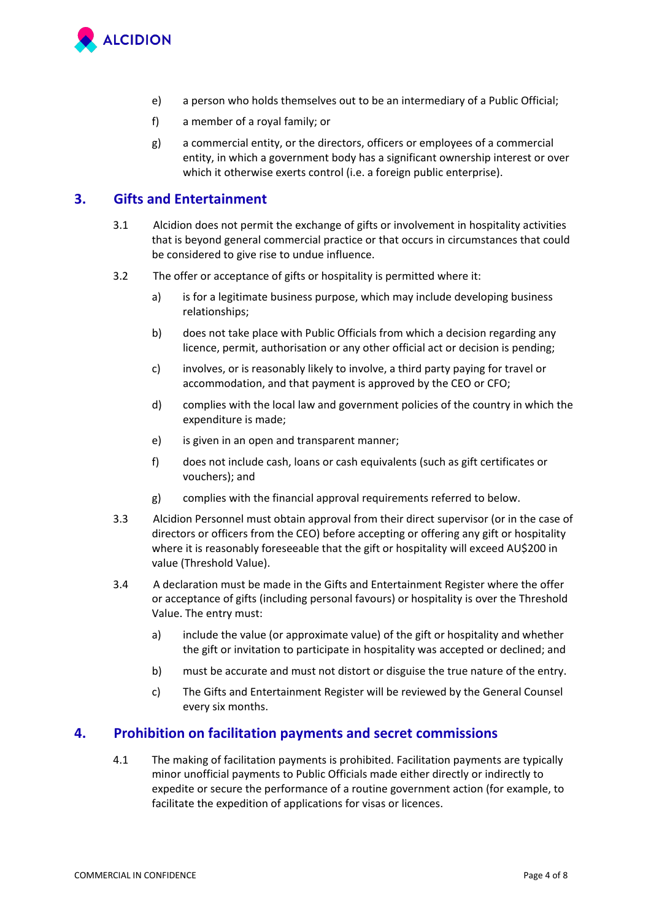

- e) a person who holds themselves out to be an intermediary of a Public Official;
- f) a member of a royal family; or
- g) a commercial entity, or the directors, officers or employees of a commercial entity, in which a government body has a significant ownership interest or over which it otherwise exerts control (i.e. a foreign public enterprise).

# **3. Gifts and Entertainment**

- 3.1 Alcidion does not permit the exchange of gifts or involvement in hospitality activities that is beyond general commercial practice or that occurs in circumstances that could be considered to give rise to undue influence.
- 3.2 The offer or acceptance of gifts or hospitality is permitted where it:
	- a) is for a legitimate business purpose, which may include developing business relationships;
	- b) does not take place with Public Officials from which a decision regarding any licence, permit, authorisation or any other official act or decision is pending;
	- c) involves, or is reasonably likely to involve, a third party paying for travel or accommodation, and that payment is approved by the CEO or CFO;
	- d) complies with the local law and government policies of the country in which the expenditure is made;
	- e) is given in an open and transparent manner;
	- f) does not include cash, loans or cash equivalents (such as gift certificates or vouchers); and
	- g) complies with the financial approval requirements referred to below.
- 3.3 Alcidion Personnel must obtain approval from their direct supervisor (or in the case of directors or officers from the CEO) before accepting or offering any gift or hospitality where it is reasonably foreseeable that the gift or hospitality will exceed AU\$200 in value (Threshold Value).
- 3.4 A declaration must be made in the Gifts and Entertainment Register where the offer or acceptance of gifts (including personal favours) or hospitality is over the Threshold Value. The entry must:
	- a) include the value (or approximate value) of the gift or hospitality and whether the gift or invitation to participate in hospitality was accepted or declined; and
	- b) must be accurate and must not distort or disguise the true nature of the entry.
	- c) The Gifts and Entertainment Register will be reviewed by the General Counsel every six months.

# **4. Prohibition on facilitation payments and secret commissions**

4.1 The making of facilitation payments is prohibited. Facilitation payments are typically minor unofficial payments to Public Officials made either directly or indirectly to expedite or secure the performance of a routine government action (for example, to facilitate the expedition of applications for visas or licences.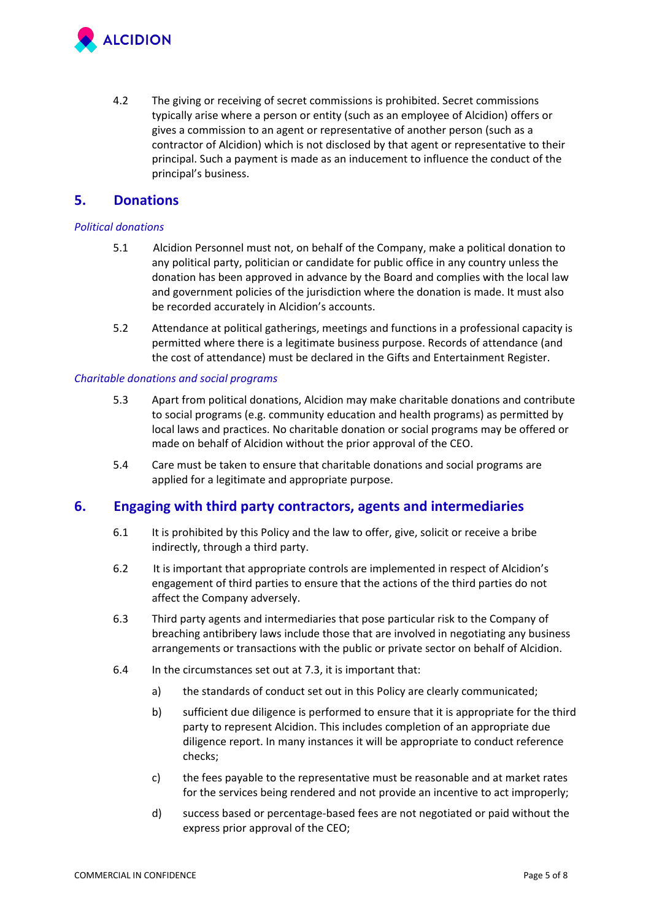

4.2 The giving or receiving of secret commissions is prohibited. Secret commissions typically arise where a person or entity (such as an employee of Alcidion) offers or gives a commission to an agent or representative of another person (such as a contractor of Alcidion) which is not disclosed by that agent or representative to their principal. Such a payment is made as an inducement to influence the conduct of the principal's business.

# **5. Donations**

#### *Political donations*

- 5.1 Alcidion Personnel must not, on behalf of the Company, make a political donation to any political party, politician or candidate for public office in any country unless the donation has been approved in advance by the Board and complies with the local law and government policies of the jurisdiction where the donation is made. It must also be recorded accurately in Alcidion's accounts.
- 5.2 Attendance at political gatherings, meetings and functions in a professional capacity is permitted where there is a legitimate business purpose. Records of attendance (and the cost of attendance) must be declared in the Gifts and Entertainment Register.

#### *Charitable donations and social programs*

- 5.3 Apart from political donations, Alcidion may make charitable donations and contribute to social programs (e.g. community education and health programs) as permitted by local laws and practices. No charitable donation or social programs may be offered or made on behalf of Alcidion without the prior approval of the CEO.
- 5.4 Care must be taken to ensure that charitable donations and social programs are applied for a legitimate and appropriate purpose.

# **6. Engaging with third party contractors, agents and intermediaries**

- 6.1 It is prohibited by this Policy and the law to offer, give, solicit or receive a bribe indirectly, through a third party.
- 6.2 It is important that appropriate controls are implemented in respect of Alcidion's engagement of third parties to ensure that the actions of the third parties do not affect the Company adversely.
- 6.3 Third party agents and intermediaries that pose particular risk to the Company of breaching antibribery laws include those that are involved in negotiating any business arrangements or transactions with the public or private sector on behalf of Alcidion.
- 6.4 In the circumstances set out at 7.3, it is important that:
	- a) the standards of conduct set out in this Policy are clearly communicated;
	- b) sufficient due diligence is performed to ensure that it is appropriate for the third party to represent Alcidion. This includes completion of an appropriate due diligence report. In many instances it will be appropriate to conduct reference checks;
	- c) the fees payable to the representative must be reasonable and at market rates for the services being rendered and not provide an incentive to act improperly;
	- d) success based or percentage‐based fees are not negotiated or paid without the express prior approval of the CEO;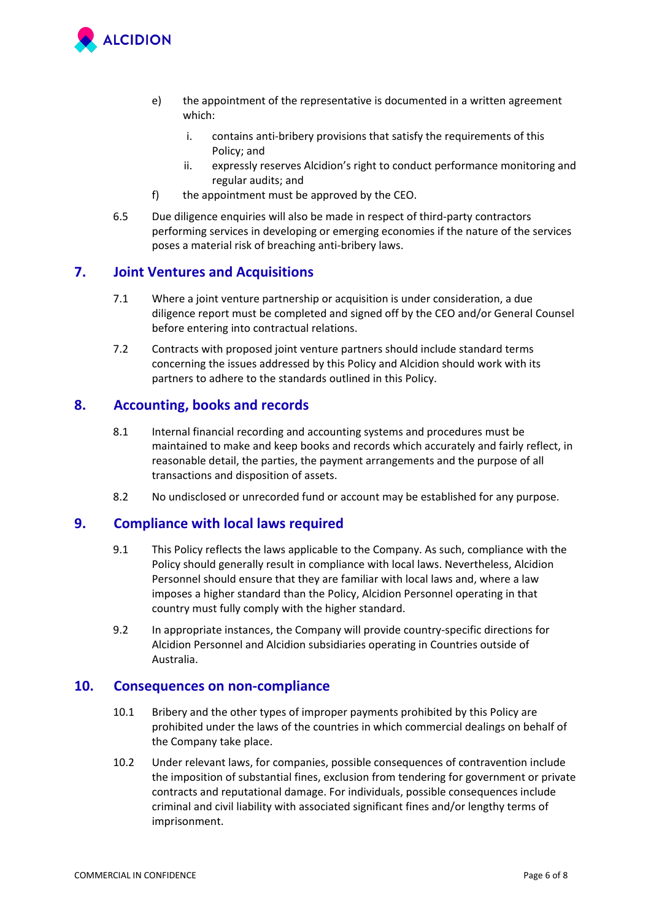

- e) the appointment of the representative is documented in a written agreement which:
	- i. contains anti-bribery provisions that satisfy the requirements of this Policy; and
	- ii. expressly reserves Alcidion's right to conduct performance monitoring and regular audits; and
- f) the appointment must be approved by the CEO.
- 6.5 Due diligence enquiries will also be made in respect of third-party contractors performing services in developing or emerging economies if the nature of the services poses a material risk of breaching anti‐bribery laws.

# **7. Joint Ventures and Acquisitions**

- 7.1 Where a joint venture partnership or acquisition is under consideration, a due diligence report must be completed and signed off by the CEO and/or General Counsel before entering into contractual relations.
- 7.2 Contracts with proposed joint venture partners should include standard terms concerning the issues addressed by this Policy and Alcidion should work with its partners to adhere to the standards outlined in this Policy.

#### **8. Accounting, books and records**

- 8.1 Internal financial recording and accounting systems and procedures must be maintained to make and keep books and records which accurately and fairly reflect, in reasonable detail, the parties, the payment arrangements and the purpose of all transactions and disposition of assets.
- 8.2 No undisclosed or unrecorded fund or account may be established for any purpose.

# **9. Compliance with local laws required**

- 9.1 This Policy reflects the laws applicable to the Company. As such, compliance with the Policy should generally result in compliance with local laws. Nevertheless, Alcidion Personnel should ensure that they are familiar with local laws and, where a law imposes a higher standard than the Policy, Alcidion Personnel operating in that country must fully comply with the higher standard.
- 9.2 In appropriate instances, the Company will provide country-specific directions for Alcidion Personnel and Alcidion subsidiaries operating in Countries outside of Australia.

### **10. Consequences on non-compliance**

- 10.1 Bribery and the other types of improper payments prohibited by this Policy are prohibited under the laws of the countries in which commercial dealings on behalf of the Company take place.
- 10.2 Under relevant laws, for companies, possible consequences of contravention include the imposition of substantial fines, exclusion from tendering for government or private contracts and reputational damage. For individuals, possible consequences include criminal and civil liability with associated significant fines and/or lengthy terms of imprisonment.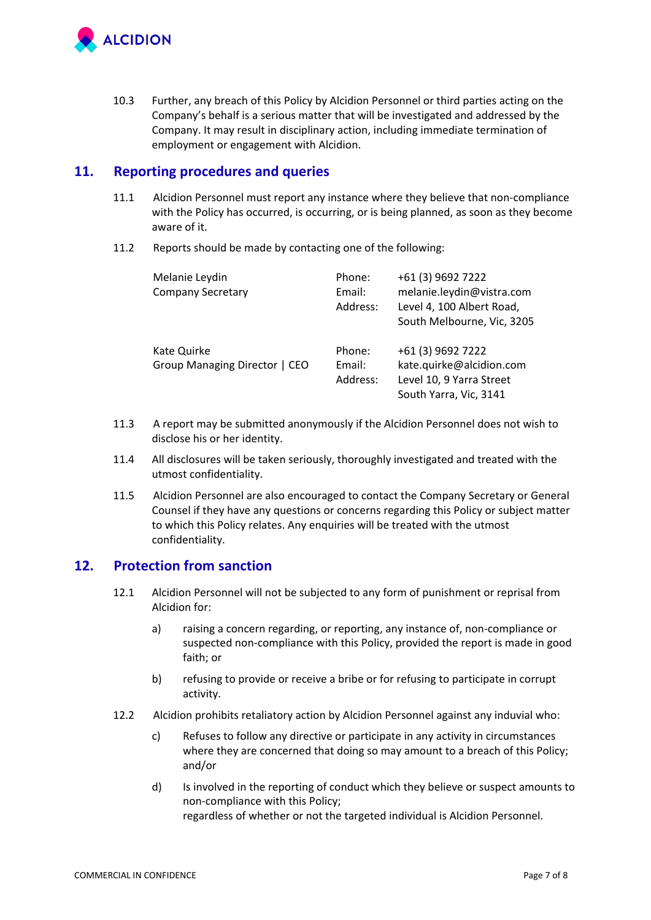

10.3 Further, any breach of this Policy by Alcidion Personnel or third parties acting on the Company's behalf is a serious matter that will be investigated and addressed by the Company. It may result in disciplinary action, including immediate termination of employment or engagement with Alcidion.

# **11. Reporting procedures and queries**

- 11.1 Alcidion Personnel must report any instance where they believe that non‐compliance with the Policy has occurred, is occurring, or is being planned, as soon as they become aware of it.
- 11.2 Reports should be made by contacting one of the following:

| Melanie Leydin<br><b>Company Secretary</b>   | Phone:<br>Email:<br>Address: | +61 (3) 9692 7222<br>melanie.leydin@vistra.com<br>Level 4, 100 Albert Road,<br>South Melbourne, Vic, 3205 |
|----------------------------------------------|------------------------------|-----------------------------------------------------------------------------------------------------------|
| Kate Quirke<br>Group Managing Director   CEO | Phone:<br>Email:<br>Address: | +61 (3) 9692 7222<br>kate.quirke@alcidion.com<br>Level 10, 9 Yarra Street<br>South Yarra, Vic, 3141       |

- 11.3 A report may be submitted anonymously if the Alcidion Personnel does not wish to disclose his or her identity.
- 11.4 All disclosures will be taken seriously, thoroughly investigated and treated with the utmost confidentiality.
- 11.5 Alcidion Personnel are also encouraged to contact the Company Secretary or General Counsel if they have any questions or concerns regarding this Policy or subject matter to which this Policy relates. Any enquiries will be treated with the utmost confidentiality.

# **12. Protection from sanction**

- 12.1 Alcidion Personnel will not be subjected to any form of punishment or reprisal from Alcidion for:
	- a) raising a concern regarding, or reporting, any instance of, non‐compliance or suspected non‐compliance with this Policy, provided the report is made in good faith; or
	- b) refusing to provide or receive a bribe or for refusing to participate in corrupt activity.
- 12.2 Alcidion prohibits retaliatory action by Alcidion Personnel against any induvial who:
	- c) Refuses to follow any directive or participate in any activity in circumstances where they are concerned that doing so may amount to a breach of this Policy; and/or
	- d) Is involved in the reporting of conduct which they believe or suspect amounts to non-compliance with this Policy; regardless of whether or not the targeted individual is Alcidion Personnel.